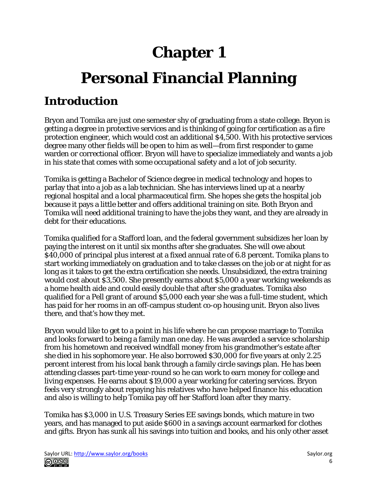# **Chapter 1 Personal Financial Planning**

# **Introduction**

Bryon and Tomika are just one semester shy of graduating from a state college. Bryon is getting a degree in protective services and is thinking of going for certification as a fire protection engineer, which would cost an additional \$4,500. With his protective services degree many other fields will be open to him as well—from first responder to game warden or correctional officer. Bryon will have to specialize immediately and wants a job in his state that comes with some occupational safety and a lot of job security.

Tomika is getting a Bachelor of Science degree in medical technology and hopes to parlay that into a job as a lab technician. She has interviews lined up at a nearby regional hospital and a local pharmaceutical firm. She hopes she gets the hospital job because it pays a little better and offers additional training on site. Both Bryon and Tomika will need additional training to have the jobs they want, and they are already in debt for their educations.

Tomika qualified for a Stafford loan, and the federal government subsidizes her loan by paying the interest on it until six months after she graduates. She will owe about \$40,000 of principal plus interest at a fixed annual rate of 6.8 percent. Tomika plans to start working immediately on graduation and to take classes on the job or at night for as long as it takes to get the extra certification she needs. Unsubsidized, the extra training would cost about \$3,500. She presently earns about \$5,000 a year working weekends as a home health aide and could easily double that after she graduates. Tomika also qualified for a Pell grant of around \$5,000 each year she was a full-time student, which has paid for her rooms in an off-campus student co-op housing unit. Bryon also lives there, and that's how they met.

Bryon would like to get to a point in his life where he can propose marriage to Tomika and looks forward to being a family man one day. He was awarded a service scholarship from his hometown and received windfall money from his grandmother's estate after she died in his sophomore year. He also borrowed \$30,000 for five years at only 2.25 percent interest from his local bank through a family circle savings plan. He has been attending classes part-time year-round so he can work to earn money for college and living expenses. He earns about \$19,000 a year working for catering services. Bryon feels very strongly about repaying his relatives who have helped finance his education and also is willing to help Tomika pay off her Stafford loan after they marry.

Tomika has \$3,000 in U.S. Treasury Series EE savings bonds, which mature in two years, and has managed to put aside \$600 in a savings account earmarked for clothes and gifts. Bryon has sunk all his savings into tuition and books, and his only other asset

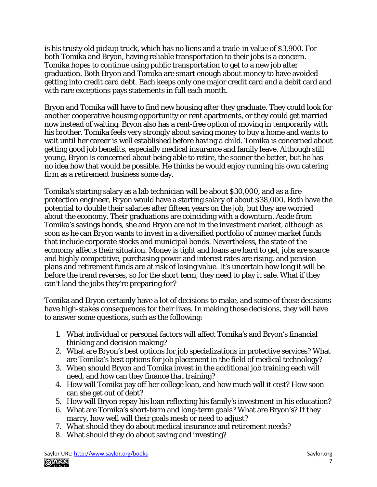is his trusty old pickup truck, which has no liens and a trade-in value of \$3,900. For both Tomika and Bryon, having reliable transportation to their jobs is a concern. Tomika hopes to continue using public transportation to get to a new job after graduation. Both Bryon and Tomika are smart enough about money to have avoided getting into credit card debt. Each keeps only one major credit card and a debit card and with rare exceptions pays statements in full each month.

Bryon and Tomika will have to find new housing after they graduate. They could look for another cooperative housing opportunity or rent apartments, or they could get married now instead of waiting. Bryon also has a rent-free option of moving in temporarily with his brother. Tomika feels very strongly about saving money to buy a home and wants to wait until her career is well established before having a child. Tomika is concerned about getting good job benefits, especially medical insurance and family leave. Although still young, Bryon is concerned about being able to retire, the sooner the better, but he has no idea how that would be possible. He thinks he would enjoy running his own catering firm as a retirement business some day.

Tomika's starting salary as a lab technician will be about \$30,000, and as a fire protection engineer, Bryon would have a starting salary of about \$38,000. Both have the potential to double their salaries after fifteen years on the job, but they are worried about the economy. Their graduations are coinciding with a downturn. Aside from Tomika's savings bonds, she and Bryon are not in the investment market, although as soon as he can Bryon wants to invest in a diversified portfolio of money market funds that include corporate stocks and municipal bonds. Nevertheless, the state of the economy affects their situation. Money is tight and loans are hard to get, jobs are scarce and highly competitive, purchasing power and interest rates are rising, and pension plans and retirement funds are at risk of losing value. It's uncertain how long it will be before the trend reverses, so for the short term, they need to play it safe. What if they can't land the jobs they're preparing for?

Tomika and Bryon certainly have a lot of decisions to make, and some of those decisions have high-stakes consequences for their lives. In making those decisions, they will have to answer some questions, such as the following:

- 1. What individual or personal factors will affect Tomika's and Bryon's financial thinking and decision making?
- 2. What are Bryon's best options for job specializations in protective services? What are Tomika's best options for job placement in the field of medical technology?
- 3. When should Bryon and Tomika invest in the additional job training each will need, and how can they finance that training?
- 4. How will Tomika pay off her college loan, and how much will it cost? How soon can she get out of debt?
- 5. How will Bryon repay his loan reflecting his family's investment in his education?
- 6. What are Tomika's short-term and long-term goals? What are Bryon's? If they marry, how well will their goals mesh or need to adjust?
- 7. What should they do about medical insurance and retirement needs?
- 8. What should they do about saving and investing?

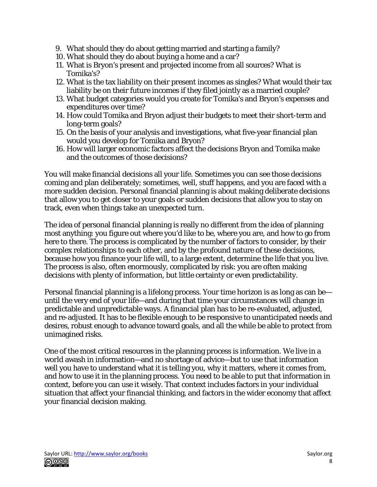- 9. What should they do about getting married and starting a family?
- 10. What should they do about buying a home and a car?
- 11. What is Bryon's present and projected income from all sources? What is Tomika's?
- 12. What is the tax liability on their present incomes as singles? What would their tax liability be on their future incomes if they filed jointly as a married couple?
- 13. What budget categories would you create for Tomika's and Bryon's expenses and expenditures over time?
- 14. How could Tomika and Bryon adjust their budgets to meet their short-term and long-term goals?
- 15. On the basis of your analysis and investigations, what five-year financial plan would you develop for Tomika and Bryon?
- 16. How will larger economic factors affect the decisions Bryon and Tomika make and the outcomes of those decisions?

You will make financial decisions all your life. Sometimes you can see those decisions coming and plan deliberately; sometimes, well, stuff happens, and you are faced with a more sudden decision. Personal financial planning is about making deliberate decisions that allow you to get closer to your goals or sudden decisions that allow you to stay on track, even when things take an unexpected turn.

The idea of personal financial planning is really no different from the idea of planning most anything: you figure out where you'd like to be, where you are, and how to go from here to there. The process is complicated by the number of factors to consider, by their complex relationships to each other, and by the profound nature of these decisions, because how you finance your life will, to a large extent, determine the life that you live. The process is also, often enormously, complicated by risk: you are often making decisions with plenty of information, but little certainty or even predictability.

Personal financial planning is a lifelong process. Your time horizon is as long as can be until the very end of your life—and during that time your circumstances will change in predictable and unpredictable ways. A financial plan has to be re-evaluated, adjusted, and re-adjusted. It has to be flexible enough to be responsive to unanticipated needs and desires, robust enough to advance toward goals, and all the while be able to protect from unimagined risks.

One of the most critical resources in the planning process is information. We live in a world awash in information—and no shortage of advice—but to use that information well you have to understand what it is telling you, why it matters, where it comes from, and how to use it in the planning process. You need to be able to put that information in context, before you can use it wisely. That context includes factors in your individual situation that affect your financial thinking, and factors in the wider economy that affect your financial decision making.

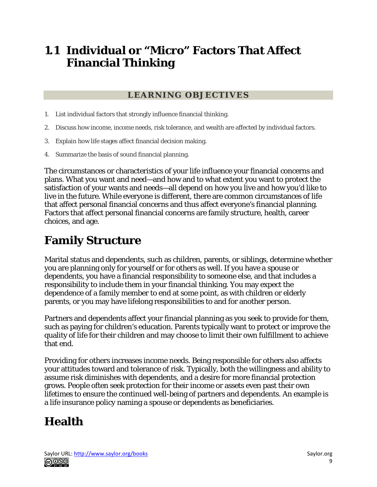### **1.1 Individual or "Micro" Factors That Affect Financial Thinking**

#### **LEARNING OBJECTIVES**

- 1. List individual factors that strongly influence financial thinking.
- 2. Discuss how income, income needs, risk tolerance, and wealth are affected by individual factors.
- 3. Explain how life stages affect financial decision making.
- 4. Summarize the basis of sound financial planning.

The circumstances or characteristics of your life influence your financial concerns and plans. What you want and need—and how and to what extent you want to protect the satisfaction of your wants and needs—all depend on how you live and how you'd like to live in the future. While everyone is different, there are common circumstances of life that affect personal financial concerns and thus affect everyone's financial planning. Factors that affect personal financial concerns are family structure, health, career choices, and age.

# **Family Structure**

Marital status and dependents, such as children, parents, or siblings, determine whether you are planning only for yourself or for others as well. If you have a spouse or dependents, you have a financial responsibility to someone else, and that includes a responsibility to include them in your financial thinking. You may expect the dependence of a family member to end at some point, as with children or elderly parents, or you may have lifelong responsibilities to and for another person.

Partners and dependents affect your financial planning as you seek to provide for them, such as paying for children's education. Parents typically want to protect or improve the quality of life for their children and may choose to limit their own fulfillment to achieve that end.

Providing for others increases income needs. Being responsible for others also affects your attitudes toward and tolerance of risk. Typically, both the willingness and ability to assume risk diminishes with dependents, and a desire for more financial protection grows. People often seek protection for their income or assets even past their own lifetimes to ensure the continued well-being of partners and dependents. An example is a life insurance policy naming a spouse or dependents as beneficiaries.

## **Health**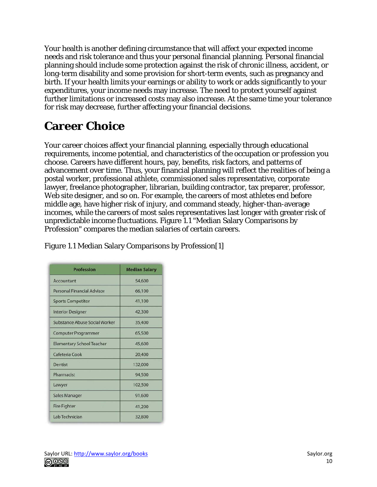Your health is another defining circumstance that will affect your expected income needs and risk tolerance and thus your personal financial planning. Personal financial planning should include some protection against the risk of chronic illness, accident, or long-term disability and some provision for short-term events, such as pregnancy and birth. If your health limits your earnings or ability to work or adds significantly to your expenditures, your income needs may increase. The need to protect yourself against further limitations or increased costs may also increase. At the same time your tolerance for risk may decrease, further affecting your financial decisions.

# **Career Choice**

Your career choices affect your financial planning, especially through educational requirements, income potential, and characteristics of the occupation or profession you choose. Careers have different hours, pay, benefits, risk factors, and patterns of advancement over time. Thus, your financial planning will reflect the realities of being a postal worker, professional athlete, commissioned sales representative, corporate lawyer, freelance photographer, librarian, building contractor, tax preparer, professor, Web site designer, and so on. For example, the careers of most athletes end before middle age, have higher risk of injury, and command steady, higher-than-average incomes, while the careers of most sales representatives last longer with greater risk of unpredictable income fluctuations. Figure 1.1 "Median Salary Comparisons by Profession" compares the median salaries of certain careers.

| <b>Profession</b>                | <b>Median Salary</b> |
|----------------------------------|----------------------|
| Accountant                       | 54,600               |
| Personal Financial Advisor       | 66,100               |
| <b>Sports Competitor</b>         | 41,100               |
| <b>Interior Designer</b>         | 42,300               |
| Substance Abuse Social Worker    | 35,400               |
| <b>Computer Programmer</b>       | 65,500               |
| <b>Elementary School Teacher</b> | 45,600               |
| Cafeteria Cook                   | 20,400               |
| Dentist                          | 132,000              |
| Pharmacist                       | 94,500               |
| Lawyer                           | 102,500              |
| <b>Sales Manager</b>             | 91,600               |
| <b>Fire Fighter</b>              | 41,200               |
| Lab Technician                   | 32,800               |

Figure 1.1 Median Salary Comparisons by Profession[1]

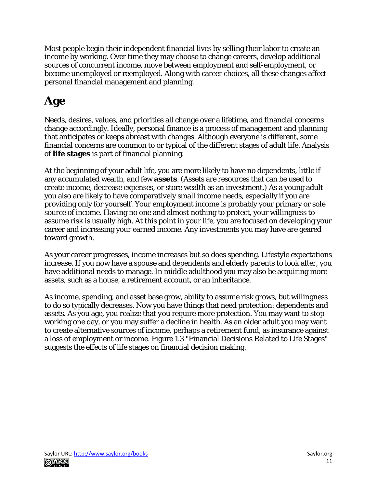Most people begin their independent financial lives by selling their labor to create an income by working. Over time they may choose to change careers, develop additional sources of concurrent income, move between employment and self-employment, or become unemployed or reemployed. Along with career choices, all these changes affect personal financial management and planning.

# **Age**

Needs, desires, values, and priorities all change over a lifetime, and financial concerns change accordingly. Ideally, personal finance is a process of management and planning that anticipates or keeps abreast with changes. Although everyone is different, some financial concerns are common to or typical of the different stages of adult life. Analysis of **life stages** is part of financial planning.

At the beginning of your adult life, you are more likely to have no dependents, little if any accumulated wealth, and few **assets**. (Assets are resources that can be used to create income, decrease expenses, or store wealth as an investment.) As a young adult you also are likely to have comparatively small income needs, especially if you are providing only for yourself. Your employment income is probably your primary or sole source of income. Having no one and almost nothing to protect, your willingness to assume risk is usually high. At this point in your life, you are focused on developing your career and increasing your earned income. Any investments you may have are geared toward growth.

As your career progresses, income increases but so does spending. Lifestyle expectations increase. If you now have a spouse and dependents and elderly parents to look after, you have additional needs to manage. In middle adulthood you may also be acquiring more assets, such as a house, a retirement account, or an inheritance.

As income, spending, and asset base grow, ability to assume risk grows, but willingness to do so typically decreases. Now you have things that need protection: dependents and assets. As you age, you realize that *you* require more protection. You may want to stop working one day, or you may suffer a decline in health. As an older adult you may want to create alternative sources of income, perhaps a retirement fund, as insurance against a loss of employment or income. Figure 1.3 "Financial Decisions Related to Life Stages" suggests the effects of life stages on financial decision making.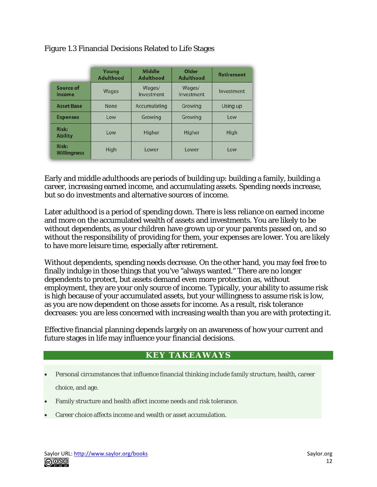|                                | Young<br><b>Adulthood</b> | <b>Middle</b><br><b>Adulthood</b> | Older<br><b>Adulthood</b> | <b>Retirement</b> |
|--------------------------------|---------------------------|-----------------------------------|---------------------------|-------------------|
| Source of<br>Income            | Wages                     | Wages/<br>Investment              | Wages/<br>Investment      | Investment        |
| <b>Asset Base</b>              | None                      | Accumulating                      | Growing                   | Using up          |
| <b>Expenses</b>                | Low                       | Growing                           | Growing                   | Low               |
| <b>Risk:</b><br><b>Ability</b> | Low                       | Higher                            | Higher                    | High              |
| Risk:<br><b>Willingness</b>    | High                      | Lower                             | Lower                     | Low               |

#### Figure 1.3 Financial Decisions Related to Life Stages

Early and middle adulthoods are periods of building up: building a family, building a career, increasing earned income, and accumulating assets. Spending needs increase, but so do investments and alternative sources of income.

Later adulthood is a period of spending down. There is less reliance on earned income and more on the accumulated wealth of assets and investments. You are likely to be without dependents, as your children have grown up or your parents passed on, and so without the responsibility of providing for them, your expenses are lower. You are likely to have more leisure time, especially after retirement.

Without dependents, spending needs decrease. On the other hand, you may feel free to finally indulge in those things that you've "always wanted." There are no longer dependents to protect, but assets demand even more protection as, without employment, they are your only source of income. Typically, your ability to assume risk is high because of your accumulated assets, but your willingness to assume risk is low, as you are now dependent on those assets for income. As a result, risk tolerance decreases: you are less concerned with increasing wealth than you are with protecting it.

Effective financial planning depends largely on an awareness of how your current and future stages in life may influence your financial decisions.

#### **KEY TAKEAWAYS**

- Personal circumstances that influence financial thinking include family structure, health, career choice, and age.
- Family structure and health affect income needs and risk tolerance.
- Career choice affects income and wealth or asset accumulation.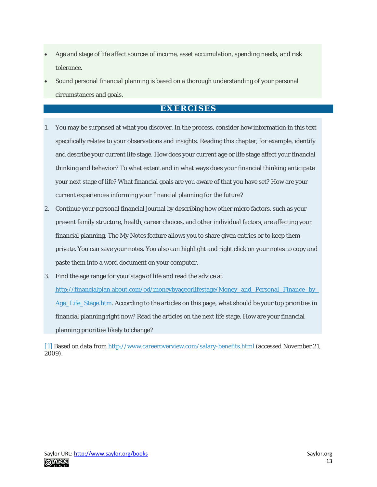- Age and stage of life affect sources of income, asset accumulation, spending needs, and risk tolerance.
- Sound personal financial planning is based on a thorough understanding of your personal circumstances and goals.

#### **EXERCISES**

- 1. You may be surprised at what you discover. In the process, consider how information in this text specifically relates to your observations and insights. Reading this chapter, for example, identify and describe your current life stage. How does your current age or life stage affect your financial thinking and behavior? To what extent and in what ways does your financial thinking anticipate your next stage of life? What financial goals are you aware of that you have set? How are your current experiences informing your financial planning for the future?
- 2. Continue your personal financial journal by describing how other micro factors, such as your present family structure, health, career choices, and other individual factors, are affecting your financial planning. The My Notes feature allows you to share given entries or to keep them private. You can save your notes. You also can highlight and right click on your notes to copy and paste them into a word document on your computer.
- 3. Find the age range for your stage of life and read the advice at

[http://financialplan.about.com/od/moneybyageorlifestage/Money\\_and\\_Personal\\_Finance\\_by\\_](http://financialplan.about.com/od/moneybyageorlifestage/Money_and_Personal_Finance_by_Age_Life_Stage.htm) [Age\\_Life\\_Stage.htm.](http://financialplan.about.com/od/moneybyageorlifestage/Money_and_Personal_Finance_by_Age_Life_Stage.htm) According to the articles on this page, what should be your top priorities in financial planning right now? Read the articles on the next life stage. How are your financial planning priorities likely to change?

[1] Based on data from <http://www.careeroverview.com/salary-benefits.html> (accessed November 21, 2009).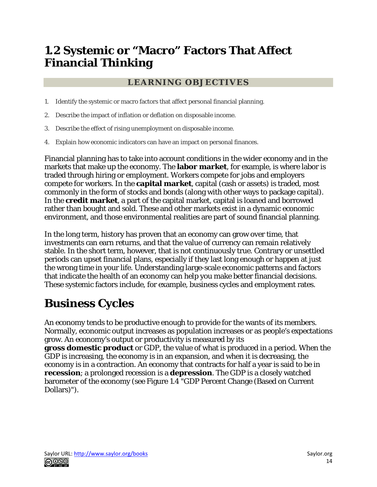## **1.2 Systemic or "Macro" Factors That Affect Financial Thinking**

#### **LEARNING OBJECTIVES**

- 1. Identify the systemic or macro factors that affect personal financial planning.
- 2. Describe the impact of inflation or deflation on disposable income.
- 3. Describe the effect of rising unemployment on disposable income.
- 4. Explain how economic indicators can have an impact on personal finances.

Financial planning has to take into account conditions in the wider economy and in the markets that make up the economy. The **labor market**, for example, is where labor is traded through hiring or employment. Workers compete for jobs and employers compete for workers. In the **capital market**, capital (cash or assets) is traded, most commonly in the form of stocks and bonds (along with other ways to package capital). In the **credit market**, a part of the capital market, capital is loaned and borrowed rather than bought and sold. These and other markets exist in a dynamic economic environment, and those environmental realities are part of sound financial planning.

In the long term, history has proven that an economy can grow over time, that investments can earn returns, and that the value of currency can remain relatively stable. In the short term, however, that is not continuously true. Contrary or unsettled periods can upset financial plans, especially if they last long enough or happen at just the wrong time in your life. Understanding large-scale economic patterns and factors that indicate the health of an economy can help you make better financial decisions. These systemic factors include, for example, business cycles and employment rates.

# **Business Cycles**

An economy tends to be productive enough to provide for the wants of its members. Normally, economic output increases as population increases or as people's expectations grow. An economy's output or productivity is measured by its **gross domestic product** or GDP, the value of what is produced in a period. When the GDP is increasing, the economy is in an expansion, and when it is decreasing, the economy is in a contraction. An economy that contracts for half a year is said to be in **recession**; a prolonged recession is a **depression**. The GDP is a closely watched barometer of the economy (see Figure 1.4 "GDP Percent Change (Based on Current Dollars)").

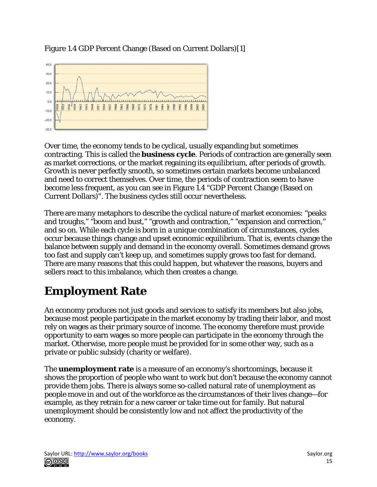Figure 1.4 GDP Percent Change (Based on Current Dollars)[1]



Over time, the economy tends to be cyclical, usually expanding but sometimes contracting. This is called the **business cycle**. Periods of contraction are generally seen as market corrections, or the market regaining its equilibrium, after periods of growth. Growth is never perfectly smooth, so sometimes certain markets become unbalanced and need to correct themselves. Over time, the periods of contraction seem to have become less frequent, as you can see in Figure 1.4 "GDP Percent Change (Based on Current Dollars)". The business cycles still occur nevertheless.

There are many metaphors to describe the cyclical nature of market economies: "peaks and troughs," "boom and bust," "growth and contraction," "expansion and correction," and so on. While each cycle is born in a unique combination of circumstances, cycles occur because things change and upset economic equilibrium. That is, events change the balance between supply and demand in the economy overall. Sometimes demand grows too fast and supply can't keep up, and sometimes supply grows too fast for demand. There are many reasons that this could happen, but whatever the reasons, buyers and sellers react to this imbalance, which then creates a change.

# **Employment Rate**

An economy produces not just goods and services to satisfy its members but also jobs, because most people participate in the market economy by trading their labor, and most rely on wages as their primary source of income. The economy therefore must provide opportunity to earn wages so more people can participate in the economy through the market. Otherwise, more people must be provided for in some other way, such as a private or public subsidy (charity or welfare).

The **unemployment rate** is a measure of an economy's shortcomings, because it shows the proportion of people who want to work but don't because the economy cannot provide them jobs. There is always some so-called natural rate of unemployment as people move in and out of the workforce as the circumstances of their lives change—for example, as they retrain for a new career or take time out for family. But natural unemployment should be consistently low and not affect the productivity of the economy.

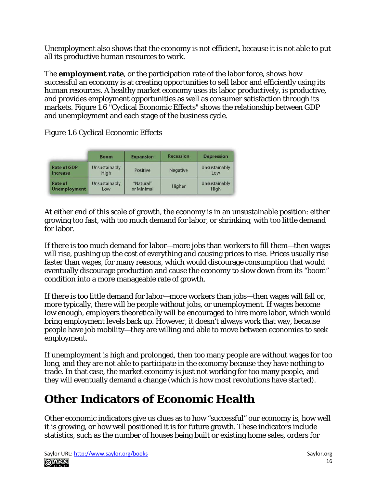Unemployment also shows that the economy is not efficient, because it is not able to put all its productive human resources to work.

The **employment rate**, or the participation rate of the labor force, shows how successful an economy is at creating opportunities to sell labor and efficiently using its human resources. A healthy market economy uses its labor productively, is productive, and provides employment opportunities as well as consumer satisfaction through its markets. Figure 1.6 "Cyclical Economic Effects" shows the relationship between GDP and unemployment and each stage of the business cycle.

Figure 1.6 Cyclical Economic Effects

|                                       | <b>Boom</b>           | <b>Expansion</b>        | <b>Recession</b> | <b>Depression</b>     |
|---------------------------------------|-----------------------|-------------------------|------------------|-----------------------|
| <b>Rate of GDP</b><br>Increase        | Unsustainably<br>High | Positive                | Negative         | Unsustainably<br>Low  |
| <b>Rate of</b><br><b>Unemployment</b> | Unsustainably<br>Low  | "Natural"<br>or Minimal | Higher           | Unsustainably<br>High |

At either end of this scale of growth, the economy is in an unsustainable position: either growing too fast, with too much demand for labor, or shrinking, with too little demand for labor.

If there is too much demand for labor—more jobs than workers to fill them—then wages will rise, pushing up the cost of everything and causing prices to rise. Prices usually rise faster than wages, for many reasons, which would discourage consumption that would eventually discourage production and cause the economy to slow down from its "boom" condition into a more manageable rate of growth.

If there is too little demand for labor—more workers than jobs—then wages will fall or, more typically, there will be people without jobs, or unemployment. If wages become low enough, employers theoretically will be encouraged to hire more labor, which would bring employment levels back up. However, it doesn't always work that way, because people have job mobility—they are willing and able to move between economies to seek employment.

If unemployment is high and prolonged, then too many people are without wages for too long, and they are not able to participate in the economy because they have nothing to trade. In that case, the market economy is just not working for too many people, and they will eventually demand a change (which is how most revolutions have started).

# **Other Indicators of Economic Health**

Other economic indicators give us clues as to how "successful" our economy is, how well it is growing, or how well positioned it is for future growth. These indicators include statistics, such as the number of houses being built or existing home sales, orders for

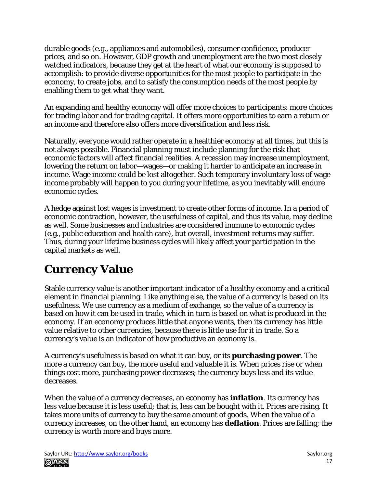durable goods (e.g., appliances and automobiles), consumer confidence, producer prices, and so on. However, GDP growth and unemployment are the two most closely watched indicators, because they get at the heart of what our economy is supposed to accomplish: to provide diverse opportunities for the most people to participate in the economy, to create jobs, and to satisfy the consumption needs of the most people by enabling them to get what they want.

An expanding and healthy economy will offer more choices to participants: more choices for trading labor and for trading capital. It offers more opportunities to earn a return or an income and therefore also offers more diversification and less risk.

Naturally, everyone would rather operate in a healthier economy at all times, but this is not always possible. Financial planning must include planning for the risk that economic factors will affect financial realities. A recession may increase unemployment, lowering the return on labor—wages—or making it harder to anticipate an increase in income. Wage income could be lost altogether. Such temporary involuntary loss of wage income probably will happen to you during your lifetime, as you inevitably will endure economic cycles.

A hedge against lost wages is investment to create other forms of income. In a period of economic contraction, however, the usefulness of capital, and thus its value, may decline as well. Some businesses and industries are considered immune to economic cycles (e.g., public education and health care), but overall, investment returns may suffer. Thus, during your lifetime business cycles will likely affect your participation in the capital markets as well.

# **Currency Value**

Stable currency value is another important indicator of a healthy economy and a critical element in financial planning. Like anything else, the value of a currency is based on its usefulness. We use currency as a medium of exchange, so the value of a currency is based on how it can be used in trade, which in turn is based on what is produced in the economy. If an economy produces little that anyone wants, then its currency has little value relative to other currencies, because there is little use for it in trade. So a currency's value is an indicator of how productive an economy is.

A currency's usefulness is based on what it can buy, or its **purchasing power**. The more a currency can buy, the more useful and valuable it is. When prices rise or when things cost more, purchasing power decreases; the currency buys less and its value decreases.

When the value of a currency decreases, an economy has **inflation**. Its currency has less value because it is less useful; that is, less can be bought with it. Prices are rising. It takes more units of currency to buy the same amount of goods. When the value of a currency increases, on the other hand, an economy has **deflation**. Prices are falling; the currency is worth more and buys more.

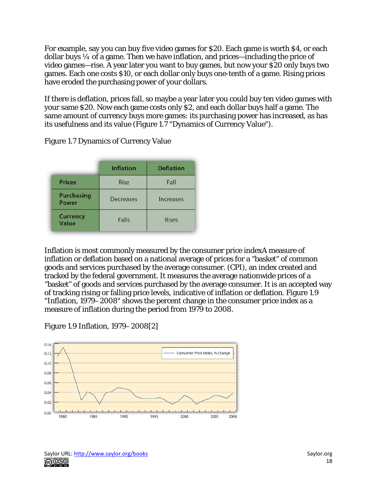For example, say you can buy five video games for \$20. Each game is worth \$4, or each dollar buys  $\frac{1}{4}$  of a game. Then we have inflation, and prices—including the price of video games—rise. A year later you want to buy games, but now your \$20 only buys two games. Each one costs \$10, or each dollar only buys one-tenth of a game. Rising prices have eroded the purchasing power of your dollars.

If there is deflation, prices fall, so maybe a year later you could buy ten video games with your same \$20. Now each game costs only \$2, and each dollar buys half a game. The same amount of currency buys more games: its purchasing power has increased, as has its usefulness and its value (Figure 1.7 "Dynamics of Currency Value").

|                            | <b>Inflation</b> | <b>Deflation</b> |
|----------------------------|------------------|------------------|
| <b>Prices</b>              | Rise             | Fall             |
| <b>Purchasing</b><br>Power | Decreases        | Increases        |
| <b>Currency</b><br>Value   | Falls            | <b>Rises</b>     |

Figure 1.7 Dynamics of Currency Value

Inflation is most commonly measured by the consumer price indexA measure of inflation or deflation based on a national average of prices for a "basket" of common goods and services purchased by the average consumer. (CPI), an index created and tracked by the federal government. It measures the average nationwide prices of a "basket" of goods and services purchased by the average consumer. It is an accepted way of tracking rising or falling price levels, indicative of inflation or deflation. Figure 1.9 "Inflation, 1979–2008" shows the percent change in the consumer price index as a measure of inflation during the period from 1979 to 2008.

Figure 1.9 Inflation, 1979–2008[2]

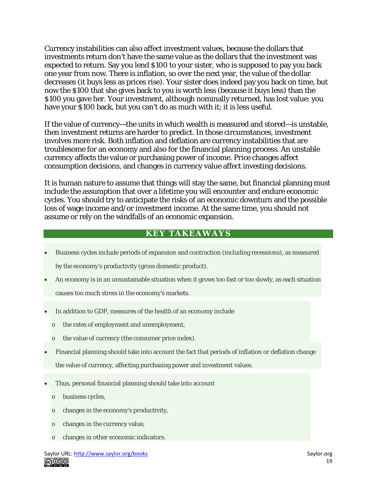Currency instabilities can also affect investment values, because the dollars that investments return don't have the same value as the dollars that the investment was expected to return. Say you lend \$100 to your sister, who is supposed to pay you back one year from now. There is inflation, so over the next year, the value of the dollar decreases (it buys less as prices rise). Your sister does indeed pay you back on time, but now the \$100 that she gives back to you is worth less (because it buys less) than the \$100 you gave her. Your investment, although nominally returned, has lost value: you have your \$100 back, but you can't do as much with it; it is less useful.

If the value of currency—the units in which wealth is measured and stored—is unstable, then investment returns are harder to predict. In those circumstances, investment involves more risk. Both inflation and deflation are currency instabilities that are troublesome for an economy and also for the financial planning process. An unstable currency affects the value or purchasing power of income. Price changes affect consumption decisions, and changes in currency value affect investing decisions.

It is human nature to assume that things will stay the same, but financial planning must include the assumption that over a lifetime you will encounter and endure economic cycles. You should try to anticipate the risks of an economic downturn and the possible loss of wage income and/or investment income. At the same time, you should not assume or rely on the windfalls of an economic expansion.

#### **KEY TAKEAWAYS**

- Business cycles include periods of expansion and contraction (including recessions), as measured by the economy's productivity (gross domestic product).
- An economy is in an unsustainable situation when it grows too fast or too slowly, as each situation causes too much stress in the economy's markets.
- In addition to GDP, measures of the health of an economy include
	- o the rates of employment and unemployment,
	- o the value of currency (the consumer price index).
- Financial planning should take into account the fact that periods of inflation or deflation change the value of currency, affecting purchasing power and investment values.
- Thus, personal financial planning should take into account
	- o business cycles,
	- o changes in the economy's productivity,
	- o changes in the currency value,
	- o changes in other economic indicators.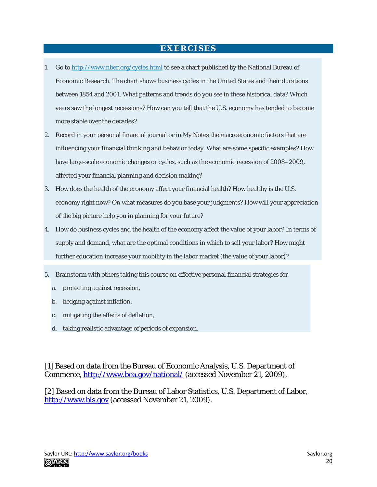#### **EXERCISES**

- 1. Go to <http://www.nber.org/cycles.html> to see a chart published by the National Bureau of Economic Research. The chart shows business cycles in the United States and their durations between 1854 and 2001. What patterns and trends do you see in these historical data? Which years saw the longest recessions? How can you tell that the U.S. economy has tended to become more stable over the decades?
- 2. Record in your personal financial journal or in My Notes the macroeconomic factors that are influencing your financial thinking and behavior today. What are some specific examples? How have large-scale economic changes or cycles, such as the economic recession of 2008–2009, affected your financial planning and decision making?
- 3. How does the health of the economy affect your financial health? How healthy is the U.S. economy right now? On what measures do you base your judgments? How will your appreciation of the big picture help you in planning for your future?
- 4. How do business cycles and the health of the economy affect the value of your labor? In terms of supply and demand, what are the optimal conditions in which to sell your labor? How might further education increase your mobility in the labor market (the value of your labor)?
- 5. Brainstorm with others taking this course on effective personal financial strategies for
	- a. protecting against recession,
	- b. hedging against inflation,
	- c. mitigating the effects of deflation,
	- d. taking realistic advantage of periods of expansion.

[1] Based on data from the Bureau of Economic Analysis, U.S. Department of Commerce,<http://www.bea.gov/national/> (accessed November 21, 2009).

[2] Based on data from the Bureau of Labor Statistics, U.S. Department of Labor, [http://www.bls.gov](http://www.bls.gov/) (accessed November 21, 2009).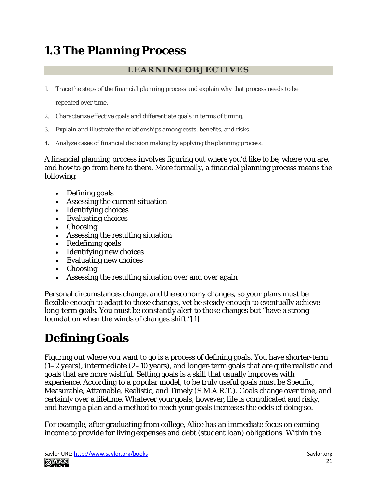# **1.3 The Planning Process**

#### **LEARNING OBJECTIVES**

1. Trace the steps of the financial planning process and explain why that process needs to be

repeated over time.

- 2. Characterize effective goals and differentiate goals in terms of timing.
- 3. Explain and illustrate the relationships among costs, benefits, and risks.
- 4. Analyze cases of financial decision making by applying the planning process.

A financial planning process involves figuring out where you'd like to be, where you are, and how to go from here to there. More formally, a financial planning process means the following:

- Defining goals
- Assessing the current situation
- Identifying choices
- Evaluating choices
- Choosing
- Assessing the resulting situation
- Redefining goals
- Identifying new choices
- Evaluating new choices
- Choosing
- Assessing the resulting situation over and over again

Personal circumstances change, and the economy changes, so your plans must be flexible enough to adapt to those changes, yet be steady enough to eventually achieve long-term goals. You must be constantly alert to those changes but "have a strong foundation when the winds of changes shift."[1]

## **Defining Goals**

Figuring out where you want to go is a process of defining goals. You have shorter-term (1–2 years), intermediate (2–10 years), and longer-term goals that are quite realistic and goals that are more wishful. Setting goals is a skill that usually improves with experience. According to a popular model, to be truly useful goals must be Specific, Measurable, Attainable, Realistic, and Timely (S.M.A.R.T.). Goals change over time, and certainly over a lifetime. Whatever your goals, however, life is complicated and risky, and having a plan and a method to reach your goals increases the odds of doing so.

For example, after graduating from college, Alice has an immediate focus on earning income to provide for living expenses and debt (student loan) obligations. Within the

Saylor URL:<http://www.saylor.org/books> Saylor.org/books Saylor.org Saylor.org Saylor.org Saylor.org **@@@**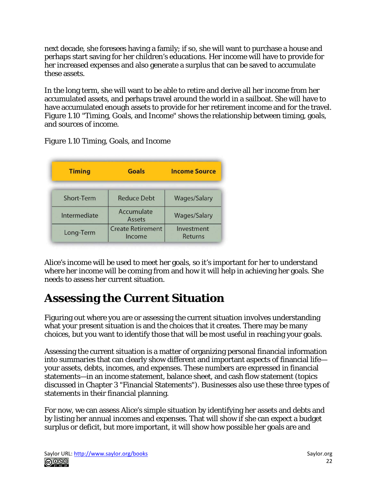next decade, she foresees having a family; if so, she will want to purchase a house and perhaps start saving for her children's educations. Her income will have to provide for her increased expenses and also generate a surplus that can be saved to accumulate these assets.

In the long term, she will want to be able to retire and derive all her income from her accumulated assets, and perhaps travel around the world in a sailboat. She will have to have accumulated enough assets to provide for her retirement income and for the travel. Figure 1.10 "Timing, Goals, and Income" shows the relationship between timing, goals, and sources of income.

Figure 1.10 Timing, Goals, and Income

| <b>Timing</b> | <b>Goals</b>                       | <b>Income Source</b>  |
|---------------|------------------------------------|-----------------------|
| Short-Term    | Reduce Debt                        | <b>Wages/Salary</b>   |
| Intermediate  | Accumulate<br>Assets               | <b>Wages/Salary</b>   |
| Long-Term     | <b>Create Retirement</b><br>Income | Investment<br>Returns |

Alice's income will be used to meet her goals, so it's important for her to understand where her income will be coming from and how it will help in achieving her goals. She needs to assess her current situation.

## **Assessing the Current Situation**

Figuring out where you are or assessing the current situation involves understanding what your present situation is and the choices that it creates. There may be many choices, but you want to identify those that will be most useful in reaching your goals.

Assessing the current situation is a matter of organizing personal financial information into summaries that can clearly show different and important aspects of financial life your assets, debts, incomes, and expenses. These numbers are expressed in financial statements—in an income statement, balance sheet, and cash flow statement (topics discussed in Chapter 3 "Financial Statements"). Businesses also use these three types of statements in their financial planning.

For now, we can assess Alice's simple situation by identifying her assets and debts and by listing her annual incomes and expenses. That will show if she can expect a budget surplus or deficit, but more important, it will show how possible her goals are and

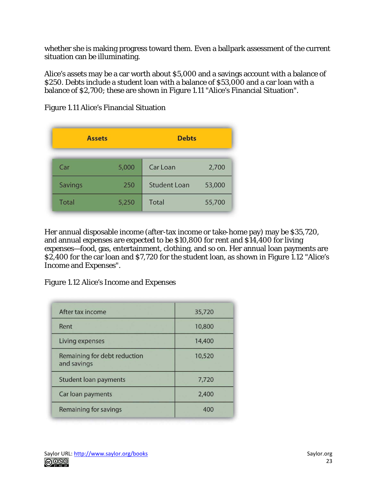whether she is making progress toward them. Even a ballpark assessment of the current situation can be illuminating.

Alice's assets may be a car worth about \$5,000 and a savings account with a balance of \$250. Debts include a student loan with a balance of \$53,000 and a car loan with a balance of \$2,700; these are shown in Figure 1.11 "Alice's Financial Situation".

| <b>Assets</b> |       | <b>Debts</b>        |        |
|---------------|-------|---------------------|--------|
| Car           | 5,000 | Car Loan            | 2,700  |
| Savings       | 250   | <b>Student Loan</b> | 53,000 |
| Total         | 5,250 | Total               | 55,700 |

Figure 1.11 Alice's Financial Situation

Her annual disposable income (after-tax income or take-home pay) may be \$35,720, and annual expenses are expected to be \$10,800 for rent and \$14,400 for living expenses—food, gas, entertainment, clothing, and so on. Her annual loan payments are \$2,400 for the car loan and \$7,720 for the student loan, as shown in Figure 1.12 "Alice's Income and Expenses".

Figure 1.12 Alice's Income and Expenses

| After tax income                            | 35,720 |
|---------------------------------------------|--------|
| Rent                                        | 10,800 |
| Living expenses                             | 14,400 |
| Remaining for debt reduction<br>and savings | 10,520 |
| <b>Student loan payments</b>                | 7,720  |
| Car loan payments                           | 2,400  |
| Remaining for savings                       | 400    |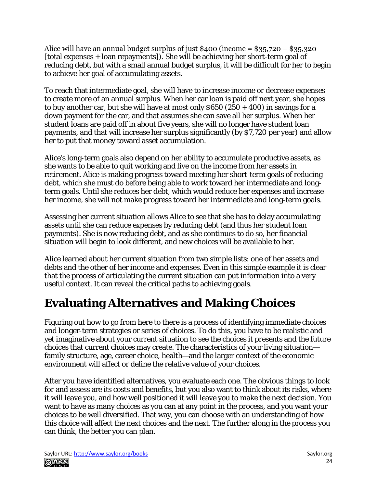Alice will have an annual budget surplus of just \$400 (income = \$35,720 − \$35,320 [total expenses + loan repayments]). She will be achieving her short-term goal of reducing debt, but with a small annual budget surplus, it will be difficult for her to begin to achieve her goal of accumulating assets.

To reach that intermediate goal, she will have to increase income or decrease expenses to create more of an annual surplus. When her car loan is paid off next year, she hopes to buy another car, but she will have at most only  $$650 (250 + 400)$  in savings for a down payment for the car, and that assumes she can save all her surplus. When her student loans are paid off in about five years, she will no longer have student loan payments, and that will increase her surplus significantly (by \$7,720 per year) and allow her to put that money toward asset accumulation.

Alice's long-term goals also depend on her ability to accumulate productive assets, as she wants to be able to quit working and live on the income from her assets in retirement. Alice is making progress toward meeting her short-term goals of reducing debt, which she must do before being able to work toward her intermediate and longterm goals. Until she reduces her debt, which would reduce her expenses and increase her income, she will not make progress toward her intermediate and long-term goals.

Assessing her current situation allows Alice to see that she has to delay accumulating assets until she can reduce expenses by reducing debt (and thus her student loan payments). She is now reducing debt, and as she continues to do so, her financial situation will begin to look different, and new choices will be available to her.

Alice learned about her current situation from two simple lists: one of her assets and debts and the other of her income and expenses. Even in this simple example it is clear that the process of articulating the current situation can put information into a very useful context. It can reveal the critical paths to achieving goals.

# **Evaluating Alternatives and Making Choices**

Figuring out how to go from here to there is a process of identifying immediate choices and longer-term strategies or series of choices. To do this, you have to be realistic and yet imaginative about your current situation to see the choices it presents and the future choices that current choices may create. The characteristics of your living situation family structure, age, career choice, health—and the larger context of the economic environment will affect or define the relative value of your choices.

After you have identified alternatives, you evaluate each one. The obvious things to look for and assess are its costs and benefits, but you also want to think about its risks, where it will leave you, and how well positioned it will leave you to make the next decision. You want to have as many choices as you can at any point in the process, and you want your choices to be well diversified. That way, you can choose with an understanding of how this choice will affect the next choices and the next. The further along in the process you can think, the better you can plan.

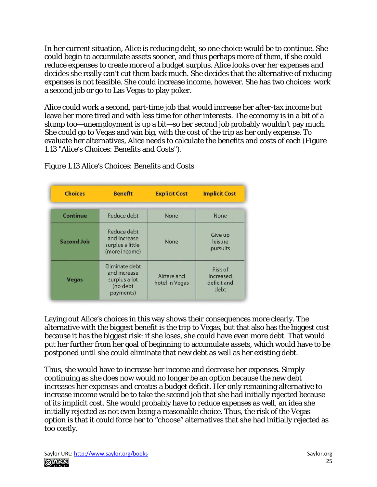In her current situation, Alice is reducing debt, so one choice would be to continue. She could begin to accumulate assets sooner, and thus perhaps more of them, if she could reduce expenses to create more of a budget surplus. Alice looks over her expenses and decides she really can't cut them back much. She decides that the alternative of reducing expenses is not feasible. She could increase income, however. She has two choices: work a second job or go to Las Vegas to play poker.

Alice could work a second, part-time job that would increase her after-tax income but leave her more tired and with less time for other interests. The economy is in a bit of a slump too—unemployment is up a bit—so her second job probably wouldn't pay much. She could go to Vegas and win big, with the cost of the trip as her only expense. To evaluate her alternatives, Alice needs to calculate the benefits and costs of each (Figure 1.13 "Alice's Choices: Benefits and Costs").

| <b>Choices</b>    | <b>Benefit</b>                                                           | <b>Explicit Cost</b>          | <b>Implicit Cost</b>                        |
|-------------------|--------------------------------------------------------------------------|-------------------------------|---------------------------------------------|
| Continue          | Reduce debt                                                              | None                          | None                                        |
| <b>Second Job</b> | Reduce debt<br>and increase<br>surplus a little<br>(more income)         | None                          | Give up<br>leisure<br>pursuits              |
| <b>Vegas</b>      | Eliminate debt<br>and increase<br>surplus a lot<br>(no debt<br>payments) | Airfare and<br>hotel in Vegas | Risk of<br>increased<br>deficit and<br>debt |

Figure 1.13 Alice's Choices: Benefits and Costs

Laying out Alice's choices in this way shows their consequences more clearly. The alternative with the biggest benefit is the trip to Vegas, but that also has the biggest cost because it has the biggest risk: if she loses, she could have even more debt. That would put her further from her goal of beginning to accumulate assets, which would have to be postponed until she could eliminate that new debt as well as her existing debt.

Thus, she would have to increase her income and decrease her expenses. Simply continuing as she does now would no longer be an option because the new debt increases her expenses and creates a budget deficit. Her only remaining alternative to increase income would be to take the second job that she had initially rejected because of its implicit cost. She would probably have to reduce expenses as well, an idea she initially rejected as not even being a reasonable choice. Thus, the risk of the Vegas option is that it could force her to "choose" alternatives that she had initially rejected as too costly.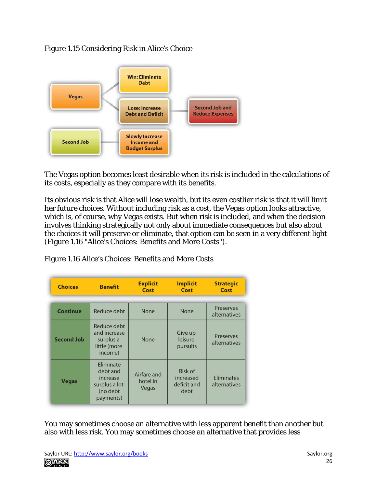Figure 1.15 Considering Risk in Alice's Choice



The Vegas option becomes least desirable when its risk is included in the calculations of its costs, especially as they compare with its benefits.

Its obvious risk is that Alice will lose wealth, but its even costlier risk is that it will limit her future choices. Without including risk as a cost, the Vegas option looks attractive, which is, of course, why Vegas exists. But when risk is included, and when the decision involves thinking strategically not only about immediate consequences but also about the choices it will preserve or eliminate, that option can be seen in a very different light (Figure 1.16 "Alice's Choices: Benefits and More Costs").

| <b>Choices</b>    | <b>Benefit</b>                                                              | <b>Explicit</b><br>Cost          | <b>Implicit</b><br>Cost                     | <b>Strategic</b><br>Cost          |
|-------------------|-----------------------------------------------------------------------------|----------------------------------|---------------------------------------------|-----------------------------------|
|                   |                                                                             |                                  |                                             |                                   |
| <b>Continue</b>   | Reduce debt                                                                 | None                             | <b>None</b>                                 | Preserves<br>alternatives         |
| <b>Second Job</b> | Reduce debt<br>and increase<br>surplus a<br>little (more<br>income)         | None                             | Give up<br>leisure<br>pursuits              | Preserves<br>alternatives         |
| <b>Vegas</b>      | Eliminate<br>debt and<br>increase<br>surplus a lot<br>(no debt<br>payments) | Airfare and<br>hotel in<br>Vegas | Risk of<br>increased<br>deficit and<br>debt | <b>Eliminates</b><br>alternatives |

Figure 1.16 Alice's Choices: Benefits and More Costs

You may sometimes choose an alternative with less apparent benefit than another but also with less risk. You may sometimes choose an alternative that provides less

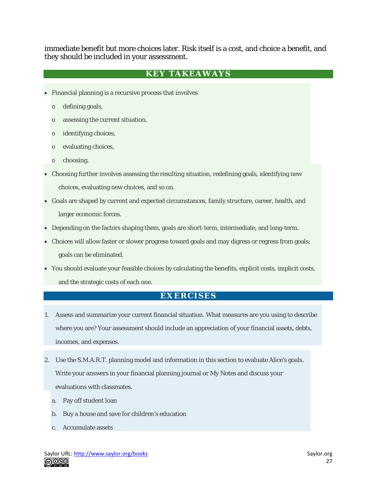immediate benefit but more choices later. Risk itself is a cost, and choice a benefit, and they should be included in your assessment.

#### **KEY TAKEAWAYS**

- Financial planning is a recursive process that involves
	- o defining goals,
	- o assessing the current situation,
	- o identifying choices,
	- o evaluating choices,
	- o choosing.
- Choosing further involves assessing the resulting situation, redefining goals, identifying new choices, evaluating new choices, and so on.
- Goals are shaped by current and expected circumstances, family structure, career, health, and larger economic forces.
- Depending on the factors shaping them, goals are short-term, intermediate, and long-term.
- Choices will allow faster or slower progress toward goals and may digress or regress from goals; goals can be eliminated.
- You should evaluate your feasible choices by calculating the benefits, explicit costs, implicit costs, and the strategic costs of each one.

#### **EXERCISES**

- 1. Assess and summarize your current financial situation. What measures are you using to describe where you are? Your assessment should include an appreciation of your financial assets, debts, incomes, and expenses.
- 2. Use the S.M.A.R.T. planning model and information in this section to evaluate Alice's goals. Write your answers in your financial planning journal or My Notes and discuss your evaluations with classmates.
	- a. Pay off student loan
	- b. Buy a house and save for children's education
	- c. Accumulate assets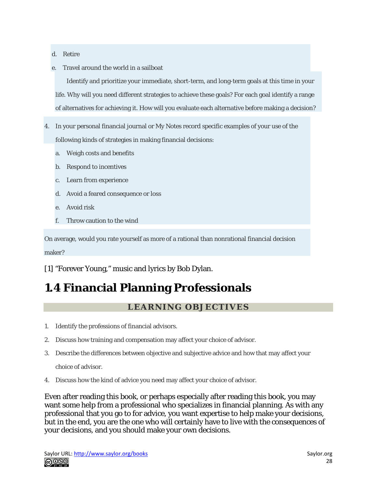d. Retire

e. Travel around the world in a sailboat

Identify and prioritize your immediate, short-term, and long-term goals at this time in your life. Why will you need different strategies to achieve these goals? For each goal identify a range of alternatives for achieving it. How will you evaluate each alternative before making a decision?

- 4. In your personal financial journal or My Notes record specific examples of your use of the following kinds of strategies in making financial decisions:
	- a. Weigh costs and benefits
	- b. Respond to incentives
	- c. Learn from experience
	- d. Avoid a feared consequence or loss
	- e. Avoid risk
	- f. Throw caution to the wind

On average, would you rate yourself as more of a rational than nonrational financial decision maker?

[1] "Forever Young," music and lyrics by Bob Dylan.

### **1.4 Financial Planning Professionals**

#### **LEARNING OBJECTIVES**

- 1. Identify the professions of financial advisors.
- 2. Discuss how training and compensation may affect your choice of advisor.
- 3. Describe the differences between objective and subjective advice and how that may affect your

choice of advisor.

4. Discuss how the kind of advice you need may affect your choice of advisor.

Even after reading this book, or perhaps especially after reading this book, you may want some help from a professional who specializes in financial planning. As with any professional that you go to for advice, you want expertise to help make your decisions, but in the end, you are the one who will certainly have to live with the consequences of your decisions, and you should make your own decisions.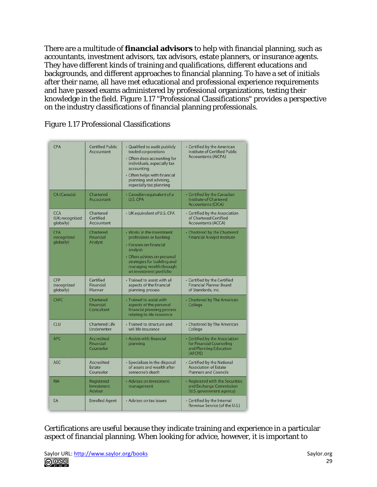There are a multitude of **financial advisors** to help with financial planning, such as accountants, investment advisors, tax advisors, estate planners, or insurance agents. They have different kinds of training and qualifications, different educations and backgrounds, and different approaches to financial planning. To have a set of initials after their name, all have met educational and professional experience requirements and have passed exams administered by professional organizations, testing their knowledge in the field. Figure 1.17 "Professional Classifications" provides a perspective on the industry classifications of financial planning professionals.

| CPA                                    | <b>Certified Public</b><br>Accountant       | • Qualified to audit publicly<br>traded corporations<br>• Often does accounting for<br>individuals, especially tax<br>accounting<br>• Often helps with financial<br>planning and advising,<br>especially tax planning | • Certified by the American<br><b>Institute of Certified Public</b><br><b>Accountants (AICPA)</b> |
|----------------------------------------|---------------------------------------------|-----------------------------------------------------------------------------------------------------------------------------------------------------------------------------------------------------------------------|---------------------------------------------------------------------------------------------------|
| CA (Canada)                            | Chartered<br>Accountant                     | · Canadian equivalent of a<br>U.S. CPA                                                                                                                                                                                | - Certified by the Canadian<br><b>Institute of Chartered</b><br><b>Accountants (CICA)</b>         |
| CCA<br>(UK; recognized<br>globally)    | Chartered<br>Certified<br>Accountant        | • UK equivalent of U.S. CPA                                                                                                                                                                                           | • Certified by the Association<br>of Chartered Certified<br><b>Accountants (ACCA)</b>             |
| <b>CFA</b><br>(recognized<br>globally) | Chartered<br>Financial<br>Analyst           | • Works in the investment<br>professions or banking<br>· Focuses on financial<br>analysis<br>· Often advises on personal<br>strategies for building and<br>managing wealth through<br>an investment portfolio         | • Chartered by the Chartered<br><b>Financial Analyst Institute</b>                                |
| CFP<br>(recognized<br>qlobally)        | Certified<br>Financial<br>Planner           | · Trained to assist with all<br>aspects of the financial<br>planning process                                                                                                                                          | • Certified by the Certified<br><b>Financial Planner Board</b><br>of Standards, Inc.              |
| ChFC                                   | Chartered<br>Financial<br>Consultant        | · Trained to assist with<br>aspects of the personal<br>financial planning process<br>relating to life insurance                                                                                                       | • Chartered by The American<br>College                                                            |
| CLU                                    | <b>Chartered Life</b><br>Underwriter        | • Trained to structure and<br>sell life insurance                                                                                                                                                                     | • Chartered by The American<br>College                                                            |
| <b>AFC</b>                             | <b>Accredited</b><br>Financial<br>Counselor | • Assists with financial<br>planning                                                                                                                                                                                  | - Certified by the Association<br>for Financial Counseling<br>and Planning Education<br>(AFCPE)   |
| <b>AEC</b>                             | <b>Accredited</b><br>Estate<br>Counselor    | · Specializes in the disposal<br>of assets and wealth after<br>someone's death                                                                                                                                        | • Certified by the National<br><b>Association of Estate</b><br><b>Planners and Councils</b>       |
| <b>RIA</b>                             | Registered<br>Investment<br>Adviser         | • Advises on investment<br>management                                                                                                                                                                                 | · Registered with the Securities<br>and Exchange Commission<br>(U.S. government agency)           |
| EA                                     | <b>Enrolled Agent</b>                       | • Advises on tax issues                                                                                                                                                                                               | • Certified by the Internal<br>Revenue Service (of the U.S.)                                      |

Figure 1.17 Professional Classifications

Certifications are useful because they indicate training and experience in a particular aspect of financial planning. When looking for advice, however, it is important to

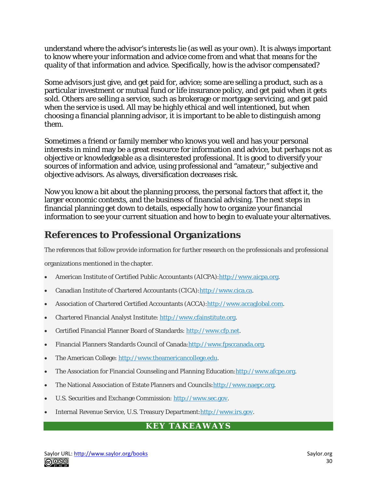understand where the advisor's interests lie (as well as your own). It is always important to know where your information and advice come from and what that means for the quality of that information and advice. Specifically, how is the advisor compensated?

Some advisors just give, and get paid for, advice; some are selling a product, such as a particular investment or mutual fund or life insurance policy, and get paid when it gets sold. Others are selling a service, such as brokerage or mortgage servicing, and get paid when the service is used. All may be highly ethical and well intentioned, but when choosing a financial planning advisor, it is important to be able to distinguish among them.

Sometimes a friend or family member who knows you well and has your personal interests in mind may be a great resource for information and advice, but perhaps not as objective or knowledgeable as a disinterested professional. It is good to diversify your sources of information and advice, using professional and "amateur," subjective and objective advisors. As always, diversification decreases risk.

Now you know a bit about the planning process, the personal factors that affect it, the larger economic contexts, and the business of financial advising. The next steps in financial planning get down to details, especially how to organize your financial information to see your current situation and how to begin to evaluate your alternatives.

#### **References to Professional Organizations**

The references that follow provide information for further research on the professionals and professional

organizations mentioned in the chapter.

- American Institute of Certified Public Accountants (AICPA)[:http://www.aicpa.org.](http://www.aicpa.org/)
- Canadian Institute of Chartered Accountants (CICA)[:http://www.cica.ca.](http://www.cica.ca/)
- Association of Chartered Certified Accountants (ACCA)[:http://www.accaglobal.com.](http://www.accaglobal.com/)
- Chartered Financial Analyst Institute: [http://www.cfainstitute.org.](http://www.cfainstitute.org/)
- Certified Financial Planner Board of Standards: [http://www.cfp.net.](http://www.cfp.net/)
- Financial Planners Standards Council of Canada[:http://www.fpsccanada.org.](http://www.fpsccanada.org/)
- The American College: [http://www.theamericancollege.edu.](http://www.theamericancollege.edu/)
- The Association for Financial Counseling and Planning Education: http://www.afcpe.org.
- The National Association of Estate Planners and Councils[:http://www.naepc.org.](http://www.naepc.org/)
- U.S. Securities and Exchange Commission: [http://www.sec.gov.](http://www.sec.gov/)
- Internal Revenue Service, U.S. Treasury Department[:http://www.irs.gov.](http://www.irs.gov/)

#### **KEY TAKEAWAYS**